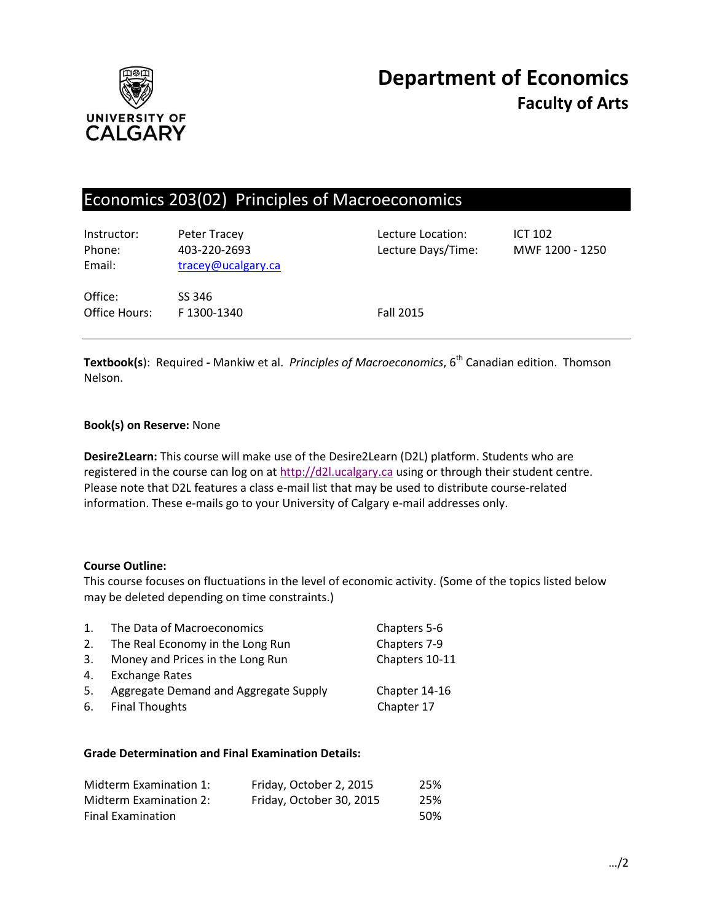

# Economics 203(02) Principles of Macroeconomics

| Instructor:<br>Phone:<br>Email: | Peter Tracey<br>403-220-2693<br>tracey@ucalgary.ca | Lecture Location:<br>Lecture Days/Time: | <b>ICT 102</b><br>MWF 1200 - 1250 |
|---------------------------------|----------------------------------------------------|-----------------------------------------|-----------------------------------|
| Office:<br>Office Hours:        | SS 346<br>F1300-1340                               | Fall 2015                               |                                   |

**Textbook(s**): Required - Mankiw et al. *Principles of Macroeconomics*, 6<sup>th</sup> Canadian edition. Thomson Nelson.

## **Book(s) on Reserve:** None

**Desire2Learn:** This course will make use of the Desire2Learn (D2L) platform. Students who are registered in the course can log on at [http://d2l.ucalgary.ca](http://d2l.ucalgary.ca/) using or through their student centre. Please note that D2L features a class e-mail list that may be used to distribute course-related information. These e-mails go to your University of Calgary e-mail addresses only.

### **Course Outline:**

This course focuses on fluctuations in the level of economic activity. (Some of the topics listed below may be deleted depending on time constraints.)

| $\mathbf{1}$ . | The Data of Macroeconomics            | Chapters 5-6   |
|----------------|---------------------------------------|----------------|
| 2.             | The Real Economy in the Long Run      | Chapters 7-9   |
| 3.             | Money and Prices in the Long Run      | Chapters 10-11 |
| 4.             | <b>Exchange Rates</b>                 |                |
| 5.             | Aggregate Demand and Aggregate Supply | Chapter 14-16  |
| 6.             | <b>Final Thoughts</b>                 | Chapter 17     |

### **Grade Determination and Final Examination Details:**

| Midterm Examination 1:   | Friday, October 2, 2015  | 25%  |
|--------------------------|--------------------------|------|
| Midterm Examination 2:   | Friday, October 30, 2015 | 25%  |
| <b>Final Examination</b> |                          | .50% |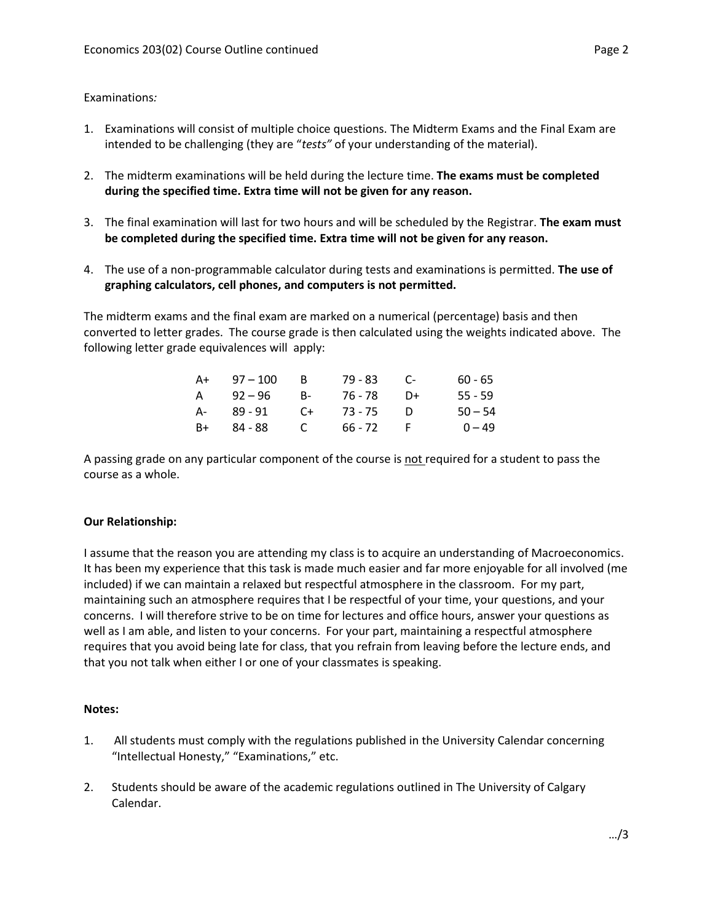### Examinations*:*

- 1. Examinations will consist of multiple choice questions. The Midterm Exams and the Final Exam are intended to be challenging (they are "*tests"* of your understanding of the material).
- 2. The midterm examinations will be held during the lecture time. **The exams must be completed during the specified time. Extra time will not be given for any reason.**
- 3. The final examination will last for two hours and will be scheduled by the Registrar. **The exam must be completed during the specified time. Extra time will not be given for any reason.**
- 4. The use of a non-programmable calculator during tests and examinations is permitted. **The use of graphing calculators, cell phones, and computers is not permitted.**

The midterm exams and the final exam are marked on a numerical (percentage) basis and then converted to letter grades. The course grade is then calculated using the weights indicated above. The following letter grade equivalences will apply:

| A+   | $97 - 100$ | -B        | 79 - 83 | <b>C-</b> | $60 - 65$ |
|------|------------|-----------|---------|-----------|-----------|
| A    | $92 - 96$  | <b>B-</b> | 76 - 78 | D+        | $55 - 59$ |
| A-   | 89 - 91    | $C+$      | 73 - 75 | Ð         | $50 - 54$ |
| $B+$ | 84 - 88    | C.        | 66 - 72 |           | $0 - 49$  |

A passing grade on any particular component of the course is not required for a student to pass the course as a whole.

### **Our Relationship:**

I assume that the reason you are attending my class is to acquire an understanding of Macroeconomics. It has been my experience that this task is made much easier and far more enjoyable for all involved (me included) if we can maintain a relaxed but respectful atmosphere in the classroom. For my part, maintaining such an atmosphere requires that I be respectful of your time, your questions, and your concerns. I will therefore strive to be on time for lectures and office hours, answer your questions as well as I am able, and listen to your concerns. For your part, maintaining a respectful atmosphere requires that you avoid being late for class, that you refrain from leaving before the lecture ends, and that you not talk when either I or one of your classmates is speaking.

### **Notes:**

- 1. All students must comply with the regulations published in the University Calendar concerning "Intellectual Honesty," "Examinations," etc.
- 2. Students should be aware of the academic regulations outlined in The University of Calgary Calendar.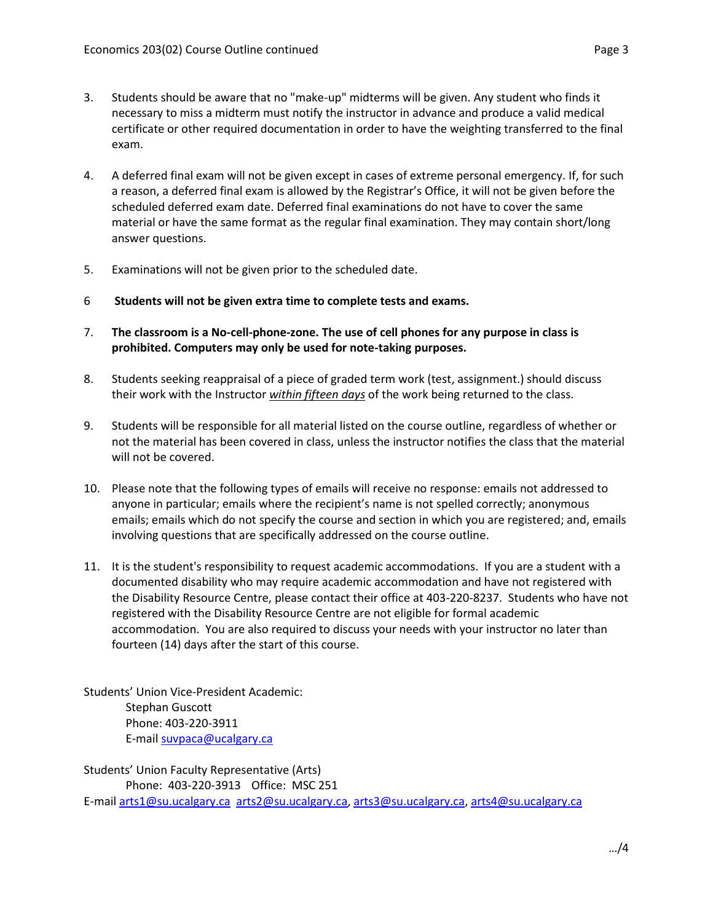- 3. Students should be aware that no "make-up" midterms will be given. Any student who finds it necessary to miss a midterm must notify the instructor in advance and produce a valid medical certificate or other required documentation in order to have the weighting transferred to the final exam.
- 4. A deferred final exam will not be given except in cases of extreme personal emergency. If, for such a reason, a deferred final exam is allowed by the Registrar's Office, it will not be given before the scheduled deferred exam date. Deferred final examinations do not have to cover the same material or have the same format as the regular final examination. They may contain short/long answer questions.
- 5. Examinations will not be given prior to the scheduled date.
- 6 **Students will not be given extra time to complete tests and exams.**
- 7. **The classroom is a No-cell-phone-zone. The use of cell phones for any purpose in class is prohibited. Computers may only be used for note-taking purposes.**
- 8. Students seeking reappraisal of a piece of graded term work (test, assignment.) should discuss their work with the Instructor *within fifteen days* of the work being returned to the class.
- 9. Students will be responsible for all material listed on the course outline, regardless of whether or not the material has been covered in class, unless the instructor notifies the class that the material will not be covered.
- 10. Please note that the following types of emails will receive no response: emails not addressed to anyone in particular; emails where the recipient's name is not spelled correctly; anonymous emails; emails which do not specify the course and section in which you are registered; and, emails involving questions that are specifically addressed on the course outline.
- 11. It is the student's responsibility to request academic accommodations. If you are a student with a documented disability who may require academic accommodation and have not registered with the Disability Resource Centre, please contact their office at 403-220-8237. Students who have not registered with the Disability Resource Centre are not eligible for formal academic accommodation. You are also required to discuss your needs with your instructor no later than fourteen (14) days after the start of this course.

Students' Union Vice-President Academic: Stephan Guscott Phone: 403-220-3911 E-mai[l suvpaca@ucalgary.ca](mailto:subpaca@ucalgary.ca)

Students' Union Faculty Representative (Arts) Phone: 403-220-3913 Office: MSC 251 E-mai[l arts1@su.ucalgary.ca](mailto:arts1@su.ucalgary.ca) [arts2@su.ucalgary.ca,](mailto:arts2@su.ucalgary.ca) [arts3@su.ucalgary.ca,](mailto:arts3@su.ucalgary.ca) [arts4@su.ucalgary.ca](mailto:arts4@su.ucalgary.ca)